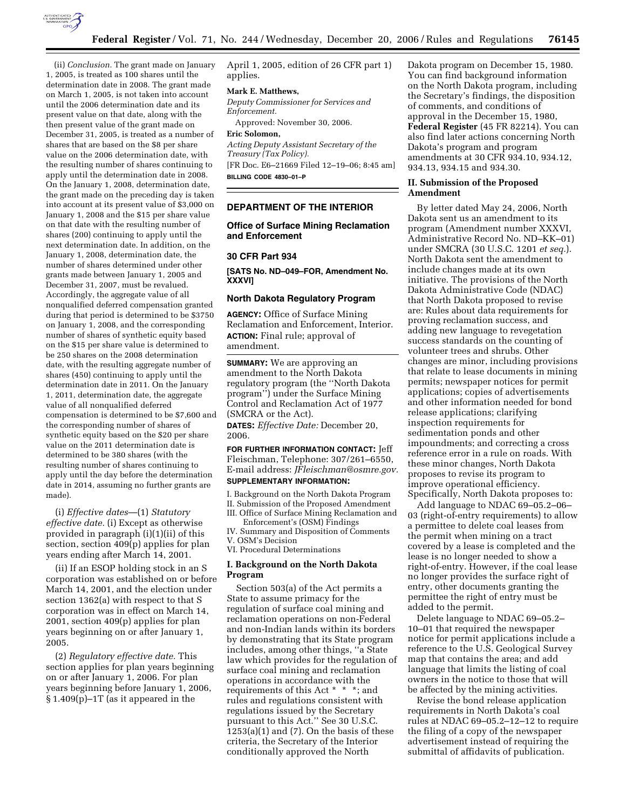

(ii) *Conclusion.* The grant made on January 1, 2005, is treated as 100 shares until the determination date in 2008. The grant made on March 1, 2005, is not taken into account until the 2006 determination date and its present value on that date, along with the then present value of the grant made on December 31, 2005, is treated as a number of shares that are based on the \$8 per share value on the 2006 determination date, with the resulting number of shares continuing to apply until the determination date in 2008. On the January 1, 2008, determination date, the grant made on the preceding day is taken into account at its present value of \$3,000 on January 1, 2008 and the \$15 per share value on that date with the resulting number of shares (200) continuing to apply until the next determination date. In addition, on the January 1, 2008, determination date, the number of shares determined under other grants made between January 1, 2005 and December 31, 2007, must be revalued. Accordingly, the aggregate value of all nonqualified deferred compensation granted during that period is determined to be \$3750 on January 1, 2008, and the corresponding number of shares of synthetic equity based on the \$15 per share value is determined to be 250 shares on the 2008 determination date, with the resulting aggregate number of shares (450) continuing to apply until the determination date in 2011. On the January 1, 2011, determination date, the aggregate value of all nonqualified deferred compensation is determined to be \$7,600 and the corresponding number of shares of synthetic equity based on the \$20 per share value on the 2011 determination date is determined to be 380 shares (with the resulting number of shares continuing to apply until the day before the determination date in 2014, assuming no further grants are made).

(i) *Effective dates*—(1) *Statutory effective date.* (i) Except as otherwise provided in paragraph (i)(1)(ii) of this section, section 409(p) applies for plan years ending after March 14, 2001.

(ii) If an ESOP holding stock in an S corporation was established on or before March 14, 2001, and the election under section 1362(a) with respect to that S corporation was in effect on March 14, 2001, section 409(p) applies for plan years beginning on or after January 1, 2005.

(2) *Regulatory effective date.* This section applies for plan years beginning on or after January 1, 2006. For plan years beginning before January 1, 2006, § 1.409(p)–1T (as it appeared in the

April 1, 2005, edition of 26 CFR part 1) applies.

#### **Mark E. Matthews,**

*Deputy Commissioner for Services and Enforcement.* 

Approved: November 30, 2006.

### **Eric Solomon,**

*Acting Deputy Assistant Secretary of the Treasury (Tax Policy).*  [FR Doc. E6–21669 Filed 12–19–06; 8:45 am] **BILLING CODE 4830–01–P** 

### **DEPARTMENT OF THE INTERIOR**

# **Office of Surface Mining Reclamation and Enforcement**

#### **30 CFR Part 934**

**[SATS No. ND–049–FOR, Amendment No. XXXVI]** 

# **North Dakota Regulatory Program**

**AGENCY:** Office of Surface Mining Reclamation and Enforcement, Interior. **ACTION:** Final rule; approval of amendment.

**SUMMARY:** We are approving an amendment to the North Dakota regulatory program (the ''North Dakota program'') under the Surface Mining Control and Reclamation Act of 1977 (SMCRA or the Act).

**DATES:** *Effective Date:* December 20, 2006.

**FOR FURTHER INFORMATION CONTACT:** Jeff Fleischman, Telephone: 307/261–6550, E-mail address: *JFleischman@osmre.gov.*  **SUPPLEMENTARY INFORMATION:** 

I. Background on the North Dakota Program II. Submission of the Proposed Amendment III. Office of Surface Mining Reclamation and

Enforcement's (OSM) Findings IV. Summary and Disposition of Comments V. OSM's Decision

VI. Procedural Determinations

# **I. Background on the North Dakota Program**

Section 503(a) of the Act permits a State to assume primacy for the regulation of surface coal mining and reclamation operations on non-Federal and non-Indian lands within its borders by demonstrating that its State program includes, among other things, ''a State law which provides for the regulation of surface coal mining and reclamation operations in accordance with the requirements of this Act \* \* \*; and rules and regulations consistent with regulations issued by the Secretary pursuant to this Act.'' See 30 U.S.C.  $1253(a)(1)$  and  $(7)$ . On the basis of these criteria, the Secretary of the Interior conditionally approved the North

Dakota program on December 15, 1980. You can find background information on the North Dakota program, including the Secretary's findings, the disposition of comments, and conditions of approval in the December 15, 1980, **Federal Register** (45 FR 82214). You can also find later actions concerning North Dakota's program and program amendments at 30 CFR 934.10, 934.12, 934.13, 934.15 and 934.30.

## **II. Submission of the Proposed Amendment**

By letter dated May 24, 2006, North Dakota sent us an amendment to its program (Amendment number XXXVI, Administrative Record No. ND–KK–01) under SMCRA (30 U.S.C. 1201 *et seq.*). North Dakota sent the amendment to include changes made at its own initiative. The provisions of the North Dakota Administrative Code (NDAC) that North Dakota proposed to revise are: Rules about data requirements for proving reclamation success, and adding new language to revegetation success standards on the counting of volunteer trees and shrubs. Other changes are minor, including provisions that relate to lease documents in mining permits; newspaper notices for permit applications; copies of advertisements and other information needed for bond release applications; clarifying inspection requirements for sedimentation ponds and other impoundments; and correcting a cross reference error in a rule on roads. With these minor changes, North Dakota proposes to revise its program to improve operational efficiency. Specifically, North Dakota proposes to:

Add language to NDAC 69–05.2–06– 03 (right-of-entry requirements) to allow a permittee to delete coal leases from the permit when mining on a tract covered by a lease is completed and the lease is no longer needed to show a right-of-entry. However, if the coal lease no longer provides the surface right of entry, other documents granting the permittee the right of entry must be added to the permit.

Delete language to NDAC 69–05.2– 10–01 that required the newspaper notice for permit applications include a reference to the U.S. Geological Survey map that contains the area; and add language that limits the listing of coal owners in the notice to those that will be affected by the mining activities.

Revise the bond release application requirements in North Dakota's coal rules at NDAC 69–05.2–12–12 to require the filing of a copy of the newspaper advertisement instead of requiring the submittal of affidavits of publication.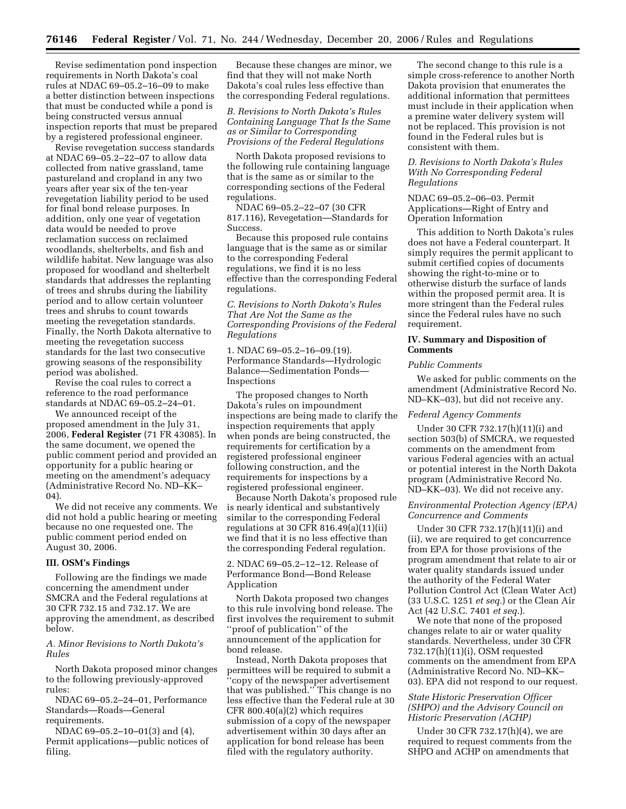Revise sedimentation pond inspection requirements in North Dakota's coal rules at NDAC 69–05.2–16–09 to make a better distinction between inspections that must be conducted while a pond is being constructed versus annual inspection reports that must be prepared by a registered professional engineer.

Revise revegetation success standards at NDAC 69–05.2–22–07 to allow data collected from native grassland, tame pastureland and cropland in any two years after year six of the ten-year revegetation liability period to be used for final bond release purposes. In addition, only one year of vegetation data would be needed to prove reclamation success on reclaimed woodlands, shelterbelts, and fish and wildlife habitat. New language was also proposed for woodland and shelterbelt standards that addresses the replanting of trees and shrubs during the liability period and to allow certain volunteer trees and shrubs to count towards meeting the revegetation standards. Finally, the North Dakota alternative to meeting the revegetation success standards for the last two consecutive growing seasons of the responsibility period was abolished.

Revise the coal rules to correct a reference to the road performance standards at NDAC 69–05.2–24–01.

We announced receipt of the proposed amendment in the July 31, 2006, **Federal Register** (71 FR 43085). In the same document, we opened the public comment period and provided an opportunity for a public hearing or meeting on the amendment's adequacy (Administrative Record No. ND–KK– 04).

We did not receive any comments. We did not hold a public hearing or meeting because no one requested one. The public comment period ended on August 30, 2006.

#### **III. OSM's Findings**

Following are the findings we made concerning the amendment under SMCRA and the Federal regulations at 30 CFR 732.15 and 732.17. We are approving the amendment, as described below.

# *A. Minor Revisions to North Dakota's Rules*

North Dakota proposed minor changes to the following previously-approved rules:

NDAC 69–05.2–24–01, Performance Standards—Roads—General requirements.

NDAC 69–05.2–10–01(3) and (4), Permit applications—public notices of filing.

Because these changes are minor, we find that they will not make North Dakota's coal rules less effective than the corresponding Federal regulations.

# *B. Revisions to North Dakota's Rules Containing Language That Is the Same as or Similar to Corresponding Provisions of the Federal Regulations*

North Dakota proposed revisions to the following rule containing language that is the same as or similar to the corresponding sections of the Federal regulations.

NDAC 69–05.2–22–07 (30 CFR 817.116), Revegetation—Standards for Success.

Because this proposed rule contains language that is the same as or similar to the corresponding Federal regulations, we find it is no less effective than the corresponding Federal regulations.

*C. Revisions to North Dakota's Rules That Are Not the Same as the Corresponding Provisions of the Federal Regulations* 

1. NDAC 69–05.2–16–09.(19). Performance Standards—Hydrologic Balance—Sedimentation Ponds— Inspections

The proposed changes to North Dakota's rules on impoundment inspections are being made to clarify the inspection requirements that apply when ponds are being constructed, the requirements for certification by a registered professional engineer following construction, and the requirements for inspections by a registered professional engineer.

Because North Dakota's proposed rule is nearly identical and substantively similar to the corresponding Federal regulations at 30 CFR 816.49(a)(11)(ii) we find that it is no less effective than the corresponding Federal regulation.

2. NDAC 69–05.2–12–12. Release of Performance Bond—Bond Release Application

North Dakota proposed two changes to this rule involving bond release. The first involves the requirement to submit ''proof of publication'' of the announcement of the application for bond release.

Instead, North Dakota proposes that permittees will be required to submit a ''copy of the newspaper advertisement that was published.'' This change is no less effective than the Federal rule at 30 CFR 800.40(a)(2) which requires submission of a copy of the newspaper advertisement within 30 days after an application for bond release has been filed with the regulatory authority.

The second change to this rule is a simple cross-reference to another North Dakota provision that enumerates the additional information that permittees must include in their application when a premine water delivery system will not be replaced. This provision is not found in the Federal rules but is consistent with them.

# *D. Revisions to North Dakota's Rules With No Corresponding Federal Regulations*

NDAC 69–05.2–06–03. Permit Applications—Right of Entry and Operation Information

This addition to North Dakota's rules does not have a Federal counterpart. It simply requires the permit applicant to submit certified copies of documents showing the right-to-mine or to otherwise disturb the surface of lands within the proposed permit area. It is more stringent than the Federal rules since the Federal rules have no such requirement.

# **IV. Summary and Disposition of Comments**

# *Public Comments*

We asked for public comments on the amendment (Administrative Record No. ND–KK–03), but did not receive any.

# *Federal Agency Comments*

Under 30 CFR 732.17(h)(11)(i) and section 503(b) of SMCRA, we requested comments on the amendment from various Federal agencies with an actual or potential interest in the North Dakota program (Administrative Record No. ND–KK–03). We did not receive any.

# *Environmental Protection Agency (EPA) Concurrence and Comments*

Under 30 CFR 732.17(h)(11)(i) and (ii), we are required to get concurrence from EPA for those provisions of the program amendment that relate to air or water quality standards issued under the authority of the Federal Water Pollution Control Act (Clean Water Act) (33 U.S.C. 1251 *et seq.*) or the Clean Air Act (42 U.S.C. 7401 *et seq.*).

We note that none of the proposed changes relate to air or water quality standards. Nevertheless, under 30 CFR 732.17(h)(11)(i), OSM requested comments on the amendment from EPA (Administrative Record No. ND–KK– 03). EPA did not respond to our request.

# *State Historic Preservation Officer (SHPO) and the Advisory Council on Historic Preservation (ACHP)*

Under 30 CFR 732.17(h)(4), we are required to request comments from the SHPO and ACHP on amendments that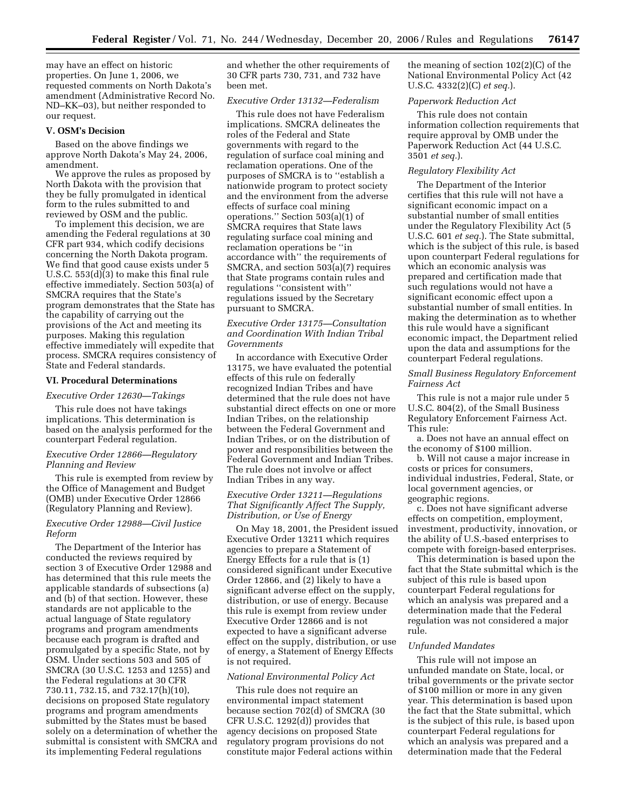may have an effect on historic properties. On June 1, 2006, we requested comments on North Dakota's amendment (Administrative Record No. ND–KK–03), but neither responded to our request.

#### **V. OSM's Decision**

Based on the above findings we approve North Dakota's May 24, 2006, amendment.

We approve the rules as proposed by North Dakota with the provision that they be fully promulgated in identical form to the rules submitted to and reviewed by OSM and the public.

To implement this decision, we are amending the Federal regulations at 30 CFR part 934, which codify decisions concerning the North Dakota program. We find that good cause exists under 5 U.S.C. 553(d)(3) to make this final rule effective immediately. Section 503(a) of SMCRA requires that the State's program demonstrates that the State has the capability of carrying out the provisions of the Act and meeting its purposes. Making this regulation effective immediately will expedite that process. SMCRA requires consistency of State and Federal standards.

### **VI. Procedural Determinations**

#### *Executive Order 12630—Takings*

This rule does not have takings implications. This determination is based on the analysis performed for the counterpart Federal regulation.

## *Executive Order 12866—Regulatory Planning and Review*

This rule is exempted from review by the Office of Management and Budget (OMB) under Executive Order 12866 (Regulatory Planning and Review).

### *Executive Order 12988—Civil Justice Reform*

The Department of the Interior has conducted the reviews required by section 3 of Executive Order 12988 and has determined that this rule meets the applicable standards of subsections (a) and (b) of that section. However, these standards are not applicable to the actual language of State regulatory programs and program amendments because each program is drafted and promulgated by a specific State, not by OSM. Under sections 503 and 505 of SMCRA (30 U.S.C. 1253 and 1255) and the Federal regulations at 30 CFR 730.11, 732.15, and 732.17(h)(10), decisions on proposed State regulatory programs and program amendments submitted by the States must be based solely on a determination of whether the submittal is consistent with SMCRA and its implementing Federal regulations

and whether the other requirements of 30 CFR parts 730, 731, and 732 have been met.

#### *Executive Order 13132—Federalism*

This rule does not have Federalism implications. SMCRA delineates the roles of the Federal and State governments with regard to the regulation of surface coal mining and reclamation operations. One of the purposes of SMCRA is to ''establish a nationwide program to protect society and the environment from the adverse effects of surface coal mining operations.'' Section 503(a)(1) of SMCRA requires that State laws regulating surface coal mining and reclamation operations be ''in accordance with'' the requirements of SMCRA, and section 503(a)(7) requires that State programs contain rules and regulations ''consistent with'' regulations issued by the Secretary pursuant to SMCRA.

# *Executive Order 13175—Consultation and Coordination With Indian Tribal Governments*

In accordance with Executive Order 13175, we have evaluated the potential effects of this rule on federally recognized Indian Tribes and have determined that the rule does not have substantial direct effects on one or more Indian Tribes, on the relationship between the Federal Government and Indian Tribes, or on the distribution of power and responsibilities between the Federal Government and Indian Tribes. The rule does not involve or affect Indian Tribes in any way.

# *Executive Order 13211—Regulations That Significantly Affect The Supply, Distribution, or Use of Energy*

On May 18, 2001, the President issued Executive Order 13211 which requires agencies to prepare a Statement of Energy Effects for a rule that is (1) considered significant under Executive Order 12866, and (2) likely to have a significant adverse effect on the supply, distribution, or use of energy. Because this rule is exempt from review under Executive Order 12866 and is not expected to have a significant adverse effect on the supply, distribution, or use of energy, a Statement of Energy Effects is not required.

### *National Environmental Policy Act*

This rule does not require an environmental impact statement because section 702(d) of SMCRA (30 CFR U.S.C. 1292(d)) provides that agency decisions on proposed State regulatory program provisions do not constitute major Federal actions within the meaning of section 102(2)(C) of the National Environmental Policy Act (42 U.S.C. 4332(2)(C) *et seq.*).

# *Paperwork Reduction Act*

This rule does not contain information collection requirements that require approval by OMB under the Paperwork Reduction Act (44 U.S.C. 3501 *et seq.*).

### *Regulatory Flexibility Act*

The Department of the Interior certifies that this rule will not have a significant economic impact on a substantial number of small entities under the Regulatory Flexibility Act (5 U.S.C. 601 *et seq.*). The State submittal, which is the subject of this rule, is based upon counterpart Federal regulations for which an economic analysis was prepared and certification made that such regulations would not have a significant economic effect upon a substantial number of small entities. In making the determination as to whether this rule would have a significant economic impact, the Department relied upon the data and assumptions for the counterpart Federal regulations.

### *Small Business Regulatory Enforcement Fairness Act*

This rule is not a major rule under 5 U.S.C. 804(2), of the Small Business Regulatory Enforcement Fairness Act. This rule:

a. Does not have an annual effect on the economy of \$100 million.

b. Will not cause a major increase in costs or prices for consumers, individual industries, Federal, State, or local government agencies, or geographic regions.

c. Does not have significant adverse effects on competition, employment, investment, productivity, innovation, or the ability of U.S.-based enterprises to compete with foreign-based enterprises.

This determination is based upon the fact that the State submittal which is the subject of this rule is based upon counterpart Federal regulations for which an analysis was prepared and a determination made that the Federal regulation was not considered a major rule.

#### *Unfunded Mandates*

This rule will not impose an unfunded mandate on State, local, or tribal governments or the private sector of \$100 million or more in any given year. This determination is based upon the fact that the State submittal, which is the subject of this rule, is based upon counterpart Federal regulations for which an analysis was prepared and a determination made that the Federal